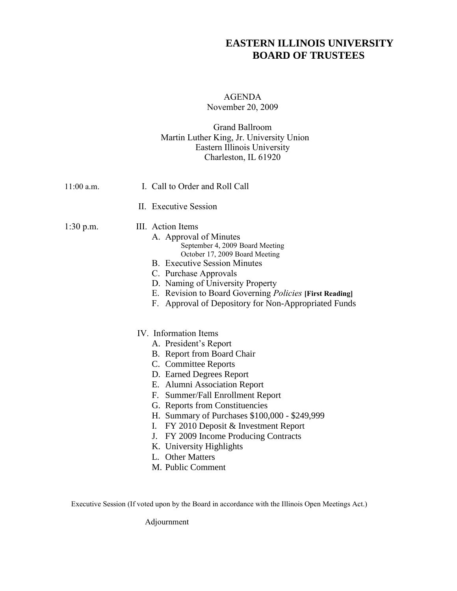## **EASTERN ILLINOIS UNIVERSITY BOARD OF TRUSTEES**

## AGENDA November 20, 2009

## Grand Ballroom Martin Luther King, Jr. University Union Eastern Illinois University Charleston, IL 61920

| $11:00$ a.m. | I. Call to Order and Roll Call                                                                                                                                                                                                                                                                                                                                                                                                                           |
|--------------|----------------------------------------------------------------------------------------------------------------------------------------------------------------------------------------------------------------------------------------------------------------------------------------------------------------------------------------------------------------------------------------------------------------------------------------------------------|
|              | II. Executive Session                                                                                                                                                                                                                                                                                                                                                                                                                                    |
| $1:30$ p.m.  | III. Action Items<br>A. Approval of Minutes<br>September 4, 2009 Board Meeting<br>October 17, 2009 Board Meeting<br><b>B.</b> Executive Session Minutes<br>C. Purchase Approvals<br>D. Naming of University Property<br>E. Revision to Board Governing <i>Policies</i> [First Reading]<br>F. Approval of Depository for Non-Appropriated Funds                                                                                                           |
|              | IV. Information Items<br>A. President's Report<br>B. Report from Board Chair<br>C. Committee Reports<br>D. Earned Degrees Report<br>E. Alumni Association Report<br>Summer/Fall Enrollment Report<br>F.<br>G. Reports from Constituencies<br>H. Summary of Purchases \$100,000 - \$249,999<br>FY 2010 Deposit & Investment Report<br>L.<br>FY 2009 Income Producing Contracts<br>J.<br>K. University Highlights<br>L. Other Matters<br>M. Public Comment |

Executive Session (If voted upon by the Board in accordance with the Illinois Open Meetings Act.)

Adjournment